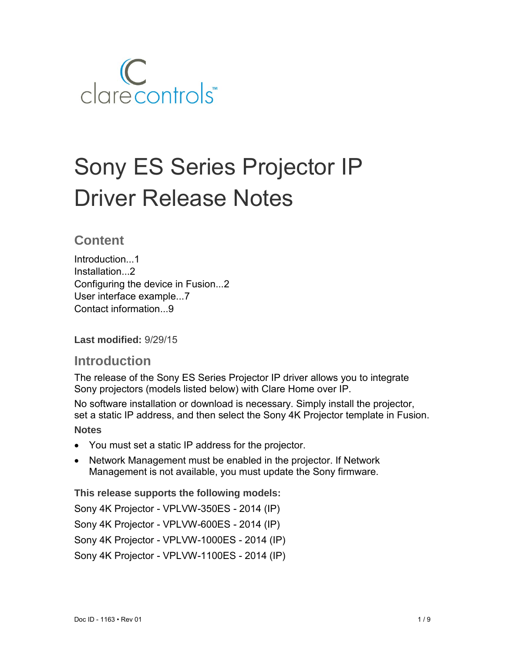

# Sony ES Series Projector IP Driver Release Notes

# **Content**

Introduction...1 Installation...2 Configuring the device in Fusion...2 User interface example...7 Contact information...9

**Last modified:** 9/29/15

## **Introduction**

The release of the Sony ES Series Projector IP driver allows you to integrate Sony projectors (models listed below) with Clare Home over IP.

No software installation or download is necessary. Simply install the projector, set a static IP address, and then select the Sony 4K Projector template in Fusion.

### **Notes**

- You must set a static IP address for the projector.
- Network Management must be enabled in the projector. If Network Management is not available, you must update the Sony firmware.

**This release supports the following models:** 

Sony 4K Projector - VPLVW-350ES - 2014 (IP) Sony 4K Projector - VPLVW-600ES - 2014 (IP)

Sony 4K Projector - VPLVW-1000ES - 2014 (IP)

Sony 4K Projector - VPLVW-1100ES - 2014 (IP)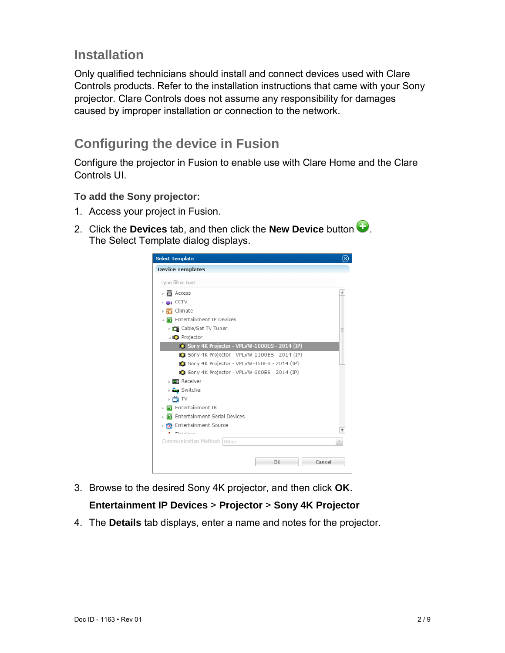# **Installation**

Only qualified technicians should install and connect devices used with Clare Controls products. Refer to the installation instructions that came with your Sony projector. Clare Controls does not assume any responsibility for damages caused by improper installation or connection to the network.

# **Configuring the device in Fusion**

Configure the projector in Fusion to enable use with Clare Home and the Clare Controls UI.

#### **To add the Sony projector:**

- 1. Access your project in Fusion.
- 2. Click the **Devices** tab, and then click the **New Device** button  $\bullet$ . The Select Template dialog displays.



3. Browse to the desired Sony 4K projector, and then click **OK**.

## **Entertainment IP Devices** > **Projector** > **Sony 4K Projector**

4. The **Details** tab displays, enter a name and notes for the projector.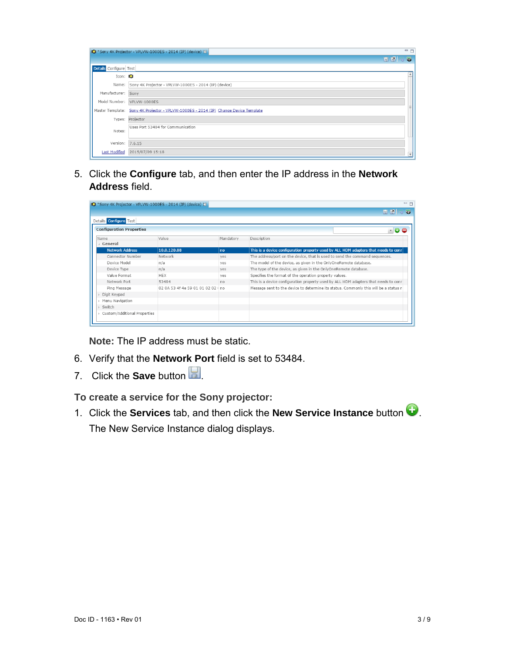|                        | IO *Sony 4K Projector - VPLVW-1000ES - 2014 (IP) (device) &                          | $=$ $\Box$ |
|------------------------|--------------------------------------------------------------------------------------|------------|
|                        | <b>HKSS</b>                                                                          |            |
| Details Configure Test |                                                                                      |            |
| $Icon: \blacksquare$   |                                                                                      |            |
|                        | Name: Sony 4K Projector - VPLVW-1000ES - 2014 (IP) (device)                          |            |
| Manufacturer:          | Sony                                                                                 |            |
|                        | Model Number: VPLVW-1000ES                                                           |            |
|                        | Master Template: Sony 4K Projector - VPLVW-1000ES - 2014 (IP) Change Device Template |            |
|                        | Types: Projector                                                                     |            |
| Notes:                 | Uses Port 53484 for Communication                                                    |            |
| Version: 7.6.15        |                                                                                      |            |
| <b>Last Modified</b>   | 2015/07/09 15:18                                                                     |            |

5. Click the **Configure** tab, and then enter the IP address in the **Network Address** field.

| IO *Sony 4K Projector - VPLVW-1000ES - 2014 (IP) (device) & |                                    |           | $=$ $\Box$                                                                           |
|-------------------------------------------------------------|------------------------------------|-----------|--------------------------------------------------------------------------------------|
|                                                             |                                    |           | 局<br>iei im                                                                          |
| Details <b>Configure</b> Test                               |                                    |           |                                                                                      |
| <b>Configuration Properties</b>                             |                                    |           | $\sqrt{a}$                                                                           |
| Name                                                        | Value                              | Mandatory | Description                                                                          |
| ⊿ General                                                   |                                    |           |                                                                                      |
| <b>Network Address</b>                                      | 10.0.120.88                        | no        | This is a device configuration property used by ALL HDM adapters that needs to conr  |
| Connector Number                                            | Network                            | ves       | The address/port on the device, that is used to send the command sequences.          |
| Device Model                                                | n/a                                | ves       | The model of the device, as given in the OnlyOneRemote database.                     |
| Device Type                                                 | n/a                                | yes       | The type of the device, as given in the OnlyOneRemote database.                      |
| Value Format                                                | <b>HFX</b>                         | ves       | Specifies the format of the operation property values.                               |
| Network Port                                                | 53484                              | no        | This is a device configuration property used by ALL HDM adapters that needs to conr  |
| Ping Message                                                | 02 0A 53 4f 4e 59 01 01 02 02   no |           | Message sent to the device to determine its status. Commonly this will be a status r |
| Digit Keypad                                                |                                    |           |                                                                                      |
| Menu Navigation                                             |                                    |           |                                                                                      |
| Switch                                                      |                                    |           |                                                                                      |
| Custom/Additional Properties                                |                                    |           |                                                                                      |

**Note:** The IP address must be static.

- 6. Verify that the **Network Port** field is set to 53484.
- 7. Click the **Save** button **.**

**To create a service for the Sony projector:** 

1. Click the **Services** tab, and then click the **New Service Instance** button . The New Service Instance dialog displays.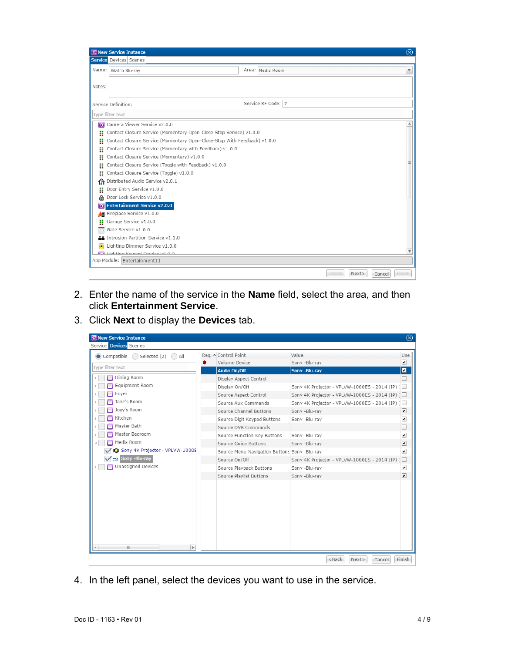|        | <b>RE New Service Instance</b>                                           |  |                    |          |      | $\circledR$               |
|--------|--------------------------------------------------------------------------|--|--------------------|----------|------|---------------------------|
|        | Service Devices Scenes                                                   |  |                    |          |      |                           |
| Name:  | Watch Blu-ray                                                            |  | Area: Media Room   |          |      | $\boldsymbol{\mathrm{v}}$ |
| Notes: |                                                                          |  |                    |          |      |                           |
|        | Service Definition:                                                      |  | Service RF Code: 7 |          |      |                           |
|        | type filter text                                                         |  |                    |          |      |                           |
| 森      | Camera Viewer Service v2.0.0                                             |  |                    |          |      |                           |
|        | Contact Closure Service (Momentary Open-Close-Stop Service) v1.0.0       |  |                    |          |      |                           |
| H      | Contact Closure Service (Momentary Open-Close-Stop With Feedback) v1.0.0 |  |                    |          |      |                           |
| n      | Contact Closure Service (Momentary with Feedback) v1.0.0                 |  |                    |          |      |                           |
| Ħ      | Contact Closure Service (Momentary) v1.0.0                               |  |                    |          |      |                           |
| H      | Contact Closure Service (Toggle with Feedback) v1.0.0                    |  |                    |          |      |                           |
| Ħ      | Contact Closure Service (Toggle) v1.0.0                                  |  |                    |          |      |                           |
| ſΝ     | Distributed Audio Service v2.0.1                                         |  |                    |          |      |                           |
| H      | Door Entry Service v1.0.0                                                |  |                    |          |      |                           |
| a      | Door Lock Service v1.0.0                                                 |  |                    |          |      |                           |
|        | Entertainment Service v2.0.0                                             |  |                    |          |      |                           |
| 48     | Fireplace Service v1.0.0                                                 |  |                    |          |      |                           |
|        | Garage Service v1.0.0                                                    |  |                    |          |      |                           |
| m.     | Gate Service v1.0.0                                                      |  |                    |          |      |                           |
|        | AA Intrusion Partition Service v1.1.0                                    |  |                    |          |      |                           |
|        | Lighting Dimmer Service v1.0.0                                           |  |                    |          |      |                           |
|        | <b>M</b> Lighting Koypad Corvice v4.0.0                                  |  |                    |          |      | $\overline{\mathbf{v}}$   |
|        | App Module: Entertainment11                                              |  |                    |          |      |                           |
|        |                                                                          |  |                    | $<$ Back | Next | <b>Finish</b><br>Cancel   |

- 2. Enter the name of the service in the **Name** field, select the area, and then click **Entertainment Service**.
- 3. Click **Next** to display the **Devices** tab.

| <b>RE</b> New Service Instance    |                                              |                                                | $\circledcirc$           |
|-----------------------------------|----------------------------------------------|------------------------------------------------|--------------------------|
| Service Devices Scenes            |                                              |                                                |                          |
| Compatible<br>Selected (2)<br>All | Reg. △ Control Point                         | Value                                          | Use                      |
| 兼                                 | Volume Device                                | Sony -Blu-ray                                  | ⊻                        |
| type filter text                  | Audio On/Off                                 | Sony -Blu-ray                                  | ◘                        |
| Dining Room                       | Display Aspect Control                       |                                                |                          |
| Equipment Room                    | Display On/Off                               | Sony 4K Projector - VPLVW-1000ES - 2014 (IP) ( | $\overline{\phantom{a}}$ |
| Foyer                             | Source Aspect Control                        | Sony 4K Projector - VPLVW-1000ES - 2014 (IP) ( |                          |
| Jane's Room                       | Source Aux Commands                          | Sony 4K Projector - VPLVW-1000ES - 2014 (IP) ( | $\equiv$                 |
| Joey's Room                       | Source Channel Buttons                       | Sony -Blu-ray                                  | ⊻                        |
| Kitchen                           | Source Digit Keypad Buttons                  | Sony -Blu-ray                                  | $\blacktriangledown$     |
| Master Bath                       | Source DVR Commands                          |                                                | $\Box$                   |
| Master Bedroom                    | Source Function Key Buttons                  | Sony -Blu-ray                                  | $\blacktriangledown$     |
| Media Room                        | Source Guide Buttons                         | Sony -Blu-ray                                  | $\overline{\mathbf{y}}$  |
| Sony 4K Projector - VPLVW-1000E   | Source Menu Navigation Buttons Sony -Blu-ray |                                                | $\blacktriangledown$     |
| Sony -Blu-ray<br>$\rightarrow$    | Source On/Off                                | Sony 4K Projector - VPLVW-1000ES - 2014 (IP) ( |                          |
| Unassigned Devices                | Source Playback Buttons                      | Sony -Blu-ray                                  | $\blacktriangledown$     |
|                                   | Source Playlist Buttons                      | Sony -Blu-ray                                  | $\overline{\mathbf{v}}$  |
|                                   |                                              |                                                |                          |
|                                   |                                              |                                                |                          |
|                                   |                                              |                                                |                          |
|                                   |                                              |                                                |                          |
|                                   |                                              |                                                |                          |
| $\mathbb{F}$<br>HL.<br>41         |                                              |                                                |                          |
|                                   |                                              |                                                |                          |
|                                   |                                              | <back<br>Next&gt;<br/>Cancel</back<br>         | Finish                   |

4. In the left panel, select the devices you want to use in the service.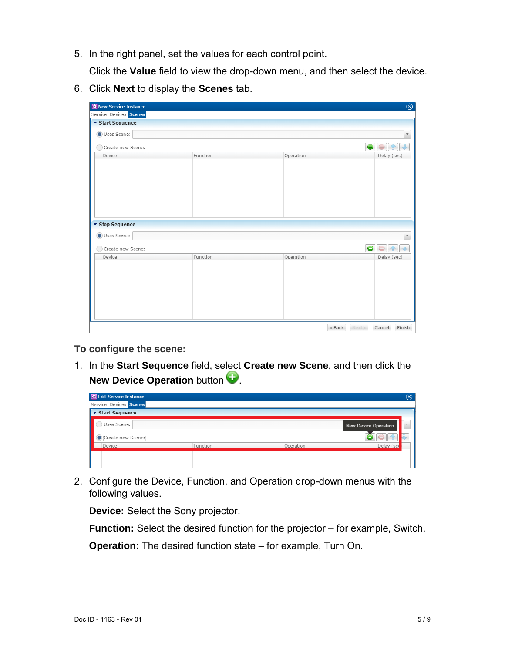5. In the right panel, set the values for each control point.

Click the **Value** field to view the drop-down menu, and then select the device.

6. Click **Next** to display the **Scenes** tab.

| <b>RE</b> New Service Instance |          |                       | $\overline{\circledcirc}$ |
|--------------------------------|----------|-----------------------|---------------------------|
| Service Devices Scenes         |          |                       |                           |
| ▼ Start Sequence               |          |                       |                           |
| Uses Scene:                    |          |                       | $\boldsymbol{\mathrm{v}}$ |
| Create new Scene:              |          |                       | $\bullet$                 |
| Device                         | Function | Operation             | Delay (sec)               |
|                                |          |                       |                           |
|                                |          |                       |                           |
|                                |          |                       |                           |
|                                |          |                       |                           |
|                                |          |                       |                           |
|                                |          |                       |                           |
|                                |          |                       |                           |
| ▼ Stop Sequence                |          |                       |                           |
| Uses Scene:                    |          |                       | $\boldsymbol{\nabla}$     |
|                                |          |                       |                           |
| Create new Scene:              |          |                       | $\bullet$                 |
| Device                         | Function | Operation             | Delay (sec)               |
|                                |          |                       |                           |
|                                |          |                       |                           |
|                                |          |                       |                           |
|                                |          |                       |                           |
|                                |          |                       |                           |
|                                |          |                       |                           |
|                                |          |                       |                           |
|                                |          | <back next=""></back> | Finish<br>Cancel          |

**To configure the scene:** 

1. In the **Start Sequence** field, select **Create new Scene**, and then click the **New Device Operation** button

| 图 Edit Service Instance |          |           | $\circledcirc$       |
|-------------------------|----------|-----------|----------------------|
| Service Devices Scenes  |          |           |                      |
| ▼ Start Sequence        |          |           |                      |
| Uses Scene:             |          |           | New Device Operation |
| Create new Scene:       |          |           |                      |
| Device                  | Function | Operation | Delay (ser           |
|                         |          |           |                      |
|                         |          |           |                      |

2. Configure the Device, Function, and Operation drop-down menus with the following values.

**Device:** Select the Sony projector.

**Function:** Select the desired function for the projector – for example, Switch.

**Operation:** The desired function state – for example, Turn On.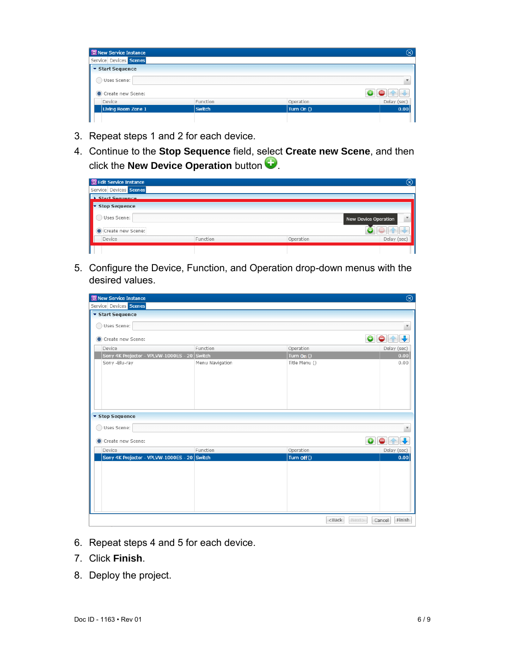| <b>R</b> New Service Instance |               |            | $\left( \times \right)$ |  |  |
|-------------------------------|---------------|------------|-------------------------|--|--|
| Service Devices Scenes        |               |            |                         |  |  |
| ▼ Start Sequence              |               |            |                         |  |  |
| Uses Scene:                   |               |            |                         |  |  |
| Create new Scene:             |               |            |                         |  |  |
| Device                        | Function      | Operation  | Delay (sec)             |  |  |
| Living Room Zone 1            | <b>Switch</b> | Turn On () | 0.00                    |  |  |
|                               |               |            |                         |  |  |

- 3. Repeat steps 1 and 2 for each device.
- 4. Continue to the **Stop Sequence** field, select **Create new Scene**, and then click the **New Device Operation** button .

| <b>RE</b> Edit Service Instance |          |           | (x)                         |
|---------------------------------|----------|-----------|-----------------------------|
| Service Devices Scenes          |          |           |                             |
| Start Sequence                  |          |           |                             |
| <b>Stop Sequence</b>            |          |           |                             |
| Uses Scene:                     |          |           | <b>New Device Operation</b> |
| Create new Scene:               |          |           |                             |
| Device                          | Function | Operation | Delay (sec)                 |
|                                 |          |           |                             |

5. Configure the Device, Function, and Operation drop-down menus with the desired values.

| $\circledR$<br><b>R</b> New Service Instance |                 |                        |                           |  |
|----------------------------------------------|-----------------|------------------------|---------------------------|--|
| Service Devices Scenes                       |                 |                        |                           |  |
| ▼ Start Sequence                             |                 |                        |                           |  |
| Uses Scene:                                  |                 |                        |                           |  |
|                                              |                 |                        |                           |  |
| Create new Scene:                            |                 |                        | $\bullet$<br>$\bullet$    |  |
| Device                                       | Function        | Operation              | Delay (sec)               |  |
| Sony 4K Projector - VPLVW-1000ES - 20 Switch |                 | Turn $\overline{On}()$ | 0.00                      |  |
| Sony -Blu-ray                                | Menu Navigation | Title Menu ()          | 0.00                      |  |
|                                              |                 |                        |                           |  |
|                                              |                 |                        |                           |  |
|                                              |                 |                        |                           |  |
|                                              |                 |                        |                           |  |
|                                              |                 |                        |                           |  |
|                                              |                 |                        |                           |  |
| ▼ Stop Sequence                              |                 |                        |                           |  |
| Uses Scene:                                  |                 |                        |                           |  |
|                                              |                 |                        |                           |  |
| Create new Scene:                            |                 |                        | $\bullet$<br>$\bullet$    |  |
| Device                                       | Function        | Operation              | Delay (sec)               |  |
| Sony 4K Projector - VPLVW-1000ES - 20 Switch |                 | Turn Off ()            | 0.00                      |  |
|                                              |                 |                        |                           |  |
|                                              |                 |                        |                           |  |
|                                              |                 |                        |                           |  |
|                                              |                 |                        |                           |  |
|                                              |                 |                        |                           |  |
|                                              |                 |                        |                           |  |
|                                              |                 |                        |                           |  |
|                                              |                 | $<$ Back               | Next><br>Finish<br>Cancel |  |

- 6. Repeat steps 4 and 5 for each device.
- 7. Click **Finish**.
- 8. Deploy the project.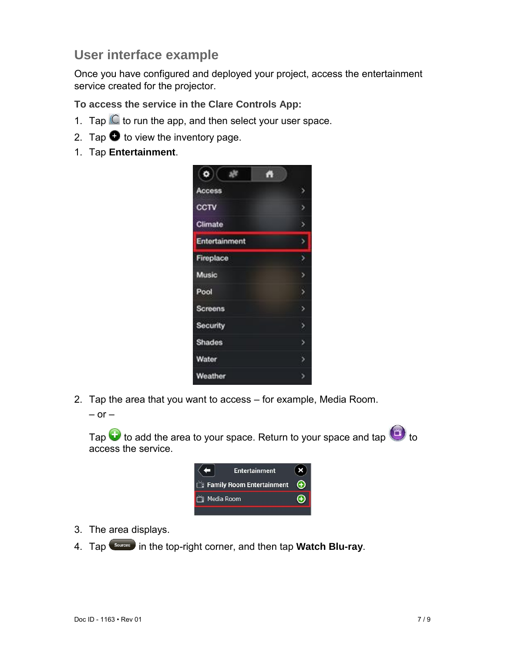# **User interface example**

Once you have configured and deployed your project, access the entertainment service created for the projector.

**To access the service in the Clare Controls App:** 

- 1. Tap  $\mathbb C$  to run the app, and then select your user space.
- 2. Tap  $\bullet$  to view the inventory page.
- 1. Tap **Entertainment**.



- 2. Tap the area that you want to access for example, Media Room.
	- $-$  or  $-$

Tap  $\bigodot$  to add the area to your space. Return to your space and tap  $\bigodot$  to access the service.



- 3. The area displays.
- 4. Tap **Sources** in the top-right corner, and then tap **Watch Blu-ray**.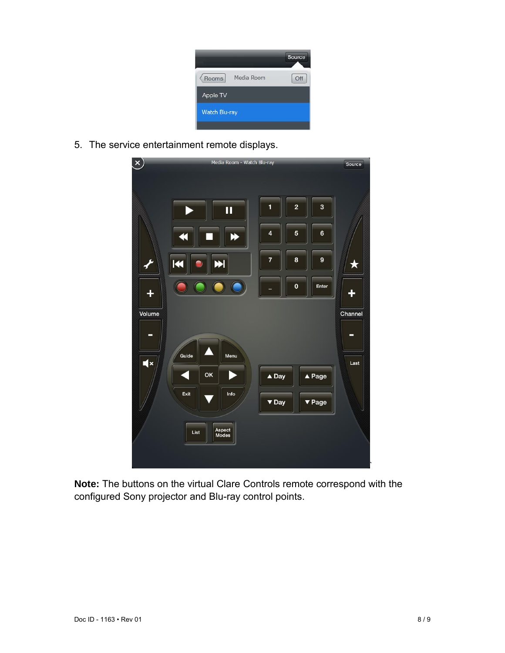| Media Room<br>Rooms | Off |
|---------------------|-----|
| Apple TV            |     |
| Watch Blu-ray       |     |

5. The service entertainment remote displays.

| $\mathsf{x})$ | Media Room - Watch Blu-ray          |                                                                           | Source       |
|---------------|-------------------------------------|---------------------------------------------------------------------------|--------------|
|               | Ш                                   | 3<br>$\overline{\mathbf{c}}$<br>1<br>5<br>6<br>4                          |              |
|               | K                                   | 7<br>8<br>9<br>$\pmb{0}$<br>Enter                                         | ★            |
| Volume<br>-   |                                     |                                                                           | Channel<br>- |
| $\mathbf{R}$  | Guide<br>Menu<br>OK<br>Info<br>Exit | $\triangle$ Page<br>$\triangle$ Day<br>$\blacktriangledown$ Day<br>▼ Page | Last         |
|               | Aspect<br>Modes<br>List             |                                                                           |              |

**Note:** The buttons on the virtual Clare Controls remote correspond with the configured Sony projector and Blu-ray control points.